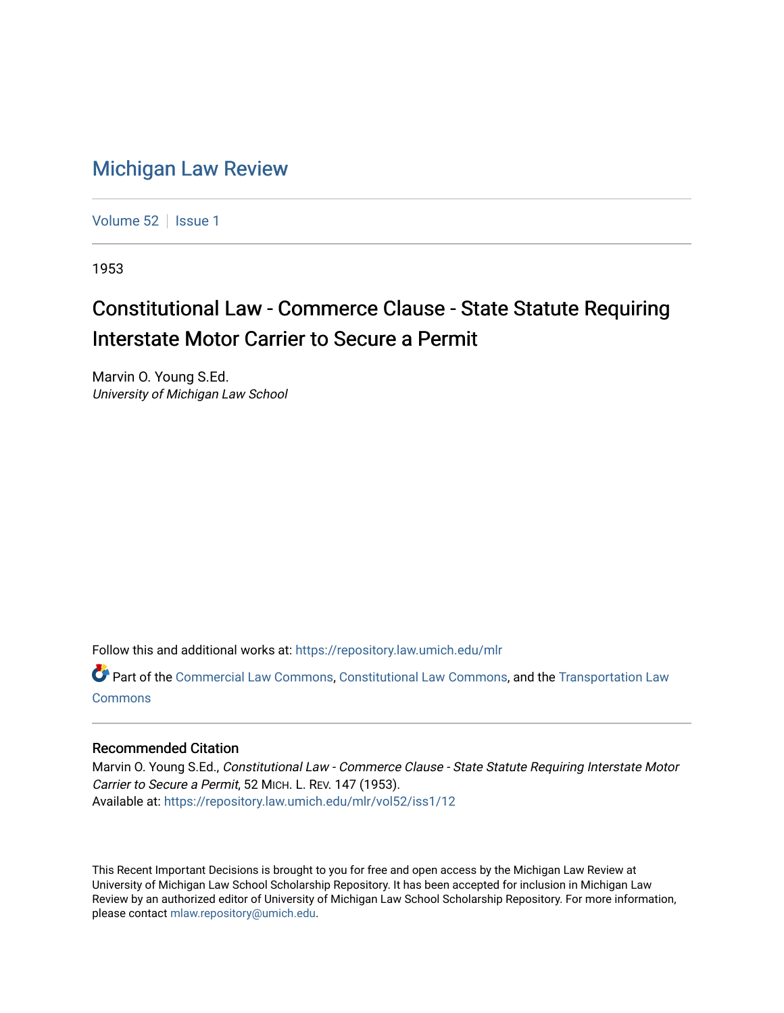## [Michigan Law Review](https://repository.law.umich.edu/mlr)

[Volume 52](https://repository.law.umich.edu/mlr/vol52) | [Issue 1](https://repository.law.umich.edu/mlr/vol52/iss1)

1953

## Constitutional Law - Commerce Clause - State Statute Requiring Interstate Motor Carrier to Secure a Permit

Marvin O. Young S.Ed. University of Michigan Law School

Follow this and additional works at: [https://repository.law.umich.edu/mlr](https://repository.law.umich.edu/mlr?utm_source=repository.law.umich.edu%2Fmlr%2Fvol52%2Fiss1%2F12&utm_medium=PDF&utm_campaign=PDFCoverPages) 

Part of the [Commercial Law Commons](http://network.bepress.com/hgg/discipline/586?utm_source=repository.law.umich.edu%2Fmlr%2Fvol52%2Fiss1%2F12&utm_medium=PDF&utm_campaign=PDFCoverPages), [Constitutional Law Commons](http://network.bepress.com/hgg/discipline/589?utm_source=repository.law.umich.edu%2Fmlr%2Fvol52%2Fiss1%2F12&utm_medium=PDF&utm_campaign=PDFCoverPages), and the [Transportation Law](http://network.bepress.com/hgg/discipline/885?utm_source=repository.law.umich.edu%2Fmlr%2Fvol52%2Fiss1%2F12&utm_medium=PDF&utm_campaign=PDFCoverPages)  [Commons](http://network.bepress.com/hgg/discipline/885?utm_source=repository.law.umich.edu%2Fmlr%2Fvol52%2Fiss1%2F12&utm_medium=PDF&utm_campaign=PDFCoverPages)

## Recommended Citation

Marvin O. Young S.Ed., Constitutional Law - Commerce Clause - State Statute Requiring Interstate Motor Carrier to Secure a Permit, 52 MICH. L. REV. 147 (1953). Available at: [https://repository.law.umich.edu/mlr/vol52/iss1/12](https://repository.law.umich.edu/mlr/vol52/iss1/12?utm_source=repository.law.umich.edu%2Fmlr%2Fvol52%2Fiss1%2F12&utm_medium=PDF&utm_campaign=PDFCoverPages) 

This Recent Important Decisions is brought to you for free and open access by the Michigan Law Review at University of Michigan Law School Scholarship Repository. It has been accepted for inclusion in Michigan Law Review by an authorized editor of University of Michigan Law School Scholarship Repository. For more information, please contact [mlaw.repository@umich.edu.](mailto:mlaw.repository@umich.edu)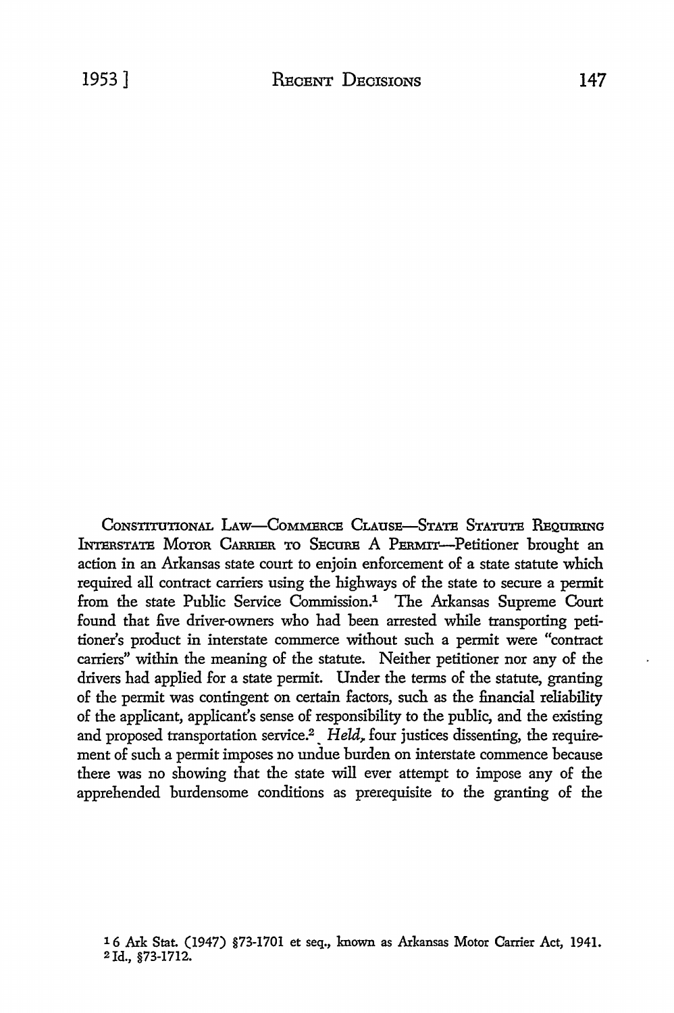CoNSTITUTIONAL LAw-CoMMBRCE CLAUSE-STATE STATUTE REQUIRING INTERSTATE MOTOR CARRIER TO SECURE A PERMIT-Petitioner brought an action in an Arkansas state court to enjoin enforcement of a state statute which required all contract carriers using the highways of the state to secure a permit from the state Public Service Commission.<sup>1</sup> The Arkansas Supreme Court found that five driver-owners who had been arrested while transporting petitioner's product in interstate commerce without such a permit were "contract carriers" within the meaning of the statute. Neither petitioner nor any of the drivers had applied for a state permit. Under the terms of the statute, granting of the permit was contingent on certain factors, such as the financial reliability of the applicant, applicant's sense of responsibility to the public, and the existing and proposed transportation service.<sup>2</sup> *Held*, four justices dissenting, the requirement of such a permit imposes no undue burden on interstate commence because there was no showing that the state will ever attempt to impose any of the apprehended burdensome conditions as prerequisite to the granting of the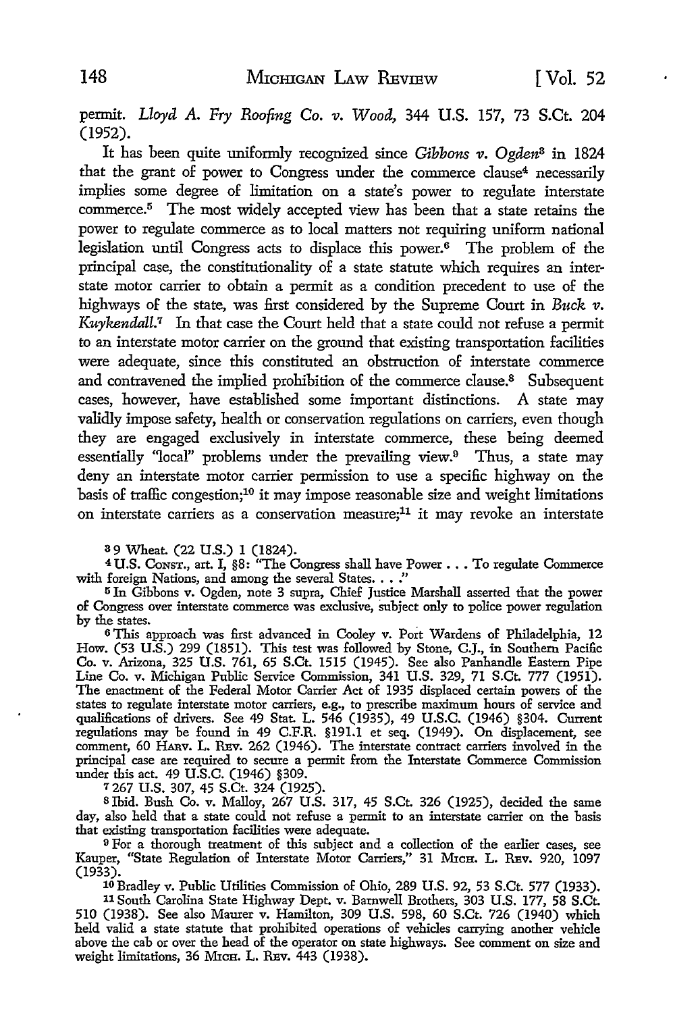permit. *Lloyd A. Fry Roofing Co. v. Wood*, 344 U.S. 157, 73 S.Ct. 204 (1952).

It has been quite uniformly recognized since *Gibbons v. Ogden*<sup>8</sup> in 1824 that the grant of power to Congress under the commerce clause<sup>4</sup> necessarily implies some degree of limitation on a state's power to regulate interstate commerce.<sup>5</sup> The most widely accepted view has been that a state retains the power to regulate commerce as to local matters not requiring uniform national legislation until Congress acts to displace this power. 6 The problem of the principal case, the constitutionality of a state statute which requires an interstate motor carrier to obtain a permit as a condition precedent to use of the highways of the state, was first considered by the Supreme Court in *Buck v*. Kuykendall.<sup>7</sup> In that case the Court held that a state could not refuse a permit to an interstate motor carrier on the ground that existing transportation facilities were adequate, since this constituted an obstruction of interstate commerce and contravened the implied prohibition of the commerce clause.<sup>8</sup> Subsequent cases, however, have established some important distinctions. A state may validly impose safety, health or conservation regulations on carriers, even though they are engaged exclusively in interstate commerce, these being deemed essentially "local" problems under the prevailing view.9 Thus, a state may deny an interstate motor carrier permission to use a specific highway on the basis of traffic congestion;10 it may impose reasonable size and weight limitations on interstate carriers as a conservation measure;<sup>11</sup> it may revoke an interstate

s 9 Wheat. (22 U.S.) 1 (1824).

<sup>4</sup>U.S. CoNsT., art. I, §8: "The Congress shall have Power ••• To regulate Commerce with foreign Nations, and among the several States. . . ."

<sup>5</sup>In Gibbons v. Ogden, note 3 supra, Chief Justice Marshall asserted that the power of Congress over interstate commerce was exclusive, subject only to police power regulation by the states.

6 This approach was first advanced in Cooley v. Port Wardens of Philadelphia, 12 How. (53 U.S.) 299 (1851). This test was followed by Stone, C.J., in Southern Pacific Co. v. Arizona, 325 U.S. 761, 65 S.Ct. 1515 (1945). See also Panhandle Eastern Pipe Line Co. v. Michigan Public Service Commission, 341 U.S. 329, 71 S.Ct. 777 (1951). The enactment of the Federal Motor Carrier Act of 1935 displaced certain powers of the states to regulate interstate motor carriers, e.g., to prescribe maximum hours of service and qualifications of drivers. See 49 Stat. L. 546 (1935), 49 U.S.C. (1946) §304. Current regulations may be found in 49 C.F.R. §191.1 et seq. (1949). On displacement, see comment, 60 HAnv. L. Rsv. 262 (1946). The interstate contract carriers involved in the principal case are required to secure a permit from the Interstate Commerce Commission under this act. 49 U.S.C. (1946) §309.

7 267 U.S. 307, 45 S.Ct. 324 (1925).

Blbid. Bush Co. v. Malloy, 267 U.S. 317, 45 S.Ct. 326 (1925), decided the same day, also held that a state could not refuse a permit to an interstate carrier on the basis that existing transportation facilities were adequate.

<sup>9</sup>For a thorough treatment of this subject and a collection of the earlier cases, see Kauper, "State Regulation of Interstate Motor Carriers," 31 MICH. L. REV. 920, 1097 (1933).

10 Bradley v. Public Utilities Commission of Ohio, 289 U.S. 92, 53 S.Ct. 577 (1933).

11 South Carolina State Highway Dept. v. Barnwell Brothers, 303 U.S. 177, 58 S.Ct. 510 (1938). See also Maurer v. Hamilton, 309 U.S. 598, 60 S.Ct. 726 (1940) which held valid a state statute that prohibited operations of vehicles carrying another vehicle above the cab or over the head of the operator on state highways. See comment on size and weight limitations, 36 MrcH. L. REV. 443 (1938).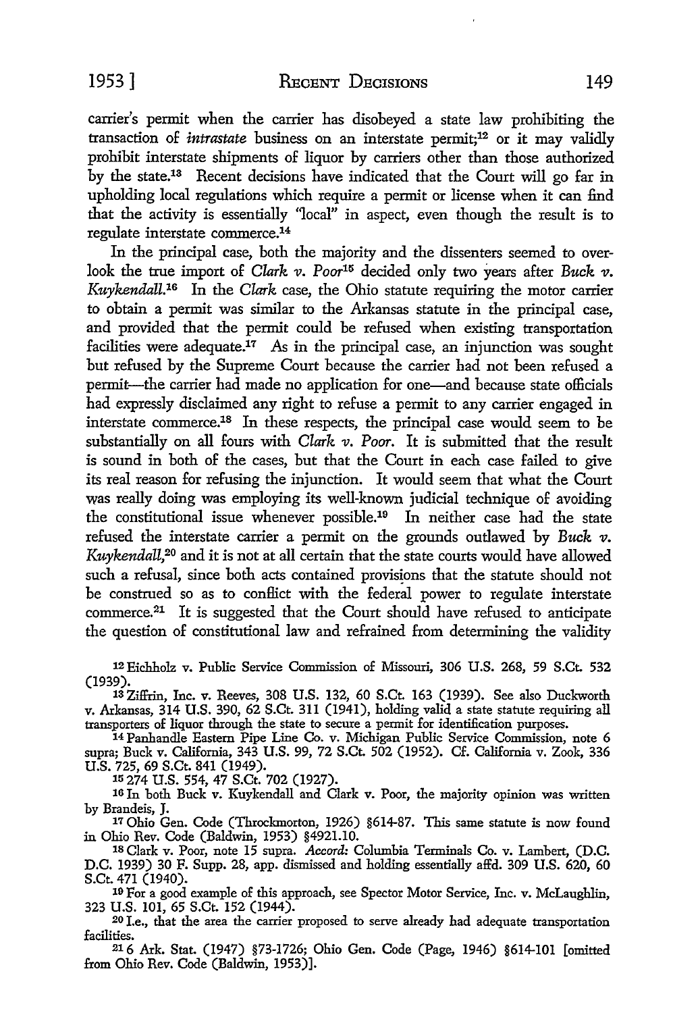carrier's permit when the carrier has disobeyed a state law prohibiting the transaction of *intrastate* business on an interstate permit;<sup>12</sup> or it may validly prohibit interstate shipments of liquor by carriers other than those authorized by the state.13 Recent decisions have indicated that the Court will go far in upholding local regulations which require a permit or license when it can find that the activity is essentially "local" in aspect, even though the result is to regulate interstate commerce.14

In the principal case, both the majority and the dissenters seemed to overlook the true import of *Clark v. Poor<sup>15</sup>* decided only two years after *Buck v. Kuykendall.16* In the *Clark* case, the Ohio statute requiring the motor carrier to obtain a permit was similar to the Arkansas statute in the principal case, and provided that the permit could be refused when existing transportation facilities were adequate.<sup>17</sup> As in the principal case, an injunction was sought but refused by the Supreme Court because the carrier had not been refused a permit-the carrier had made no application for one-and because state officials had expressly disclaimed any right to refuse a permit to any carrier engaged in interstate commerce.18 In these respects, the principal case would seem to be substantially on all fours with *Clark v. Poor.* It is submitted that the result is sound in both of the cases, but that the Court in each case failed to give its real reason for refusing the injunction. It would seem that what the Court was really doing was employing its well-known judicial technique of avoiding the constitutional issue whenever possible.19 In neither case had the state refused the interstate carrier a permit on the grounds outlawed by *Buck v. Kuykendall,20* and it is not at all certain that the state courts would have allowed such a refusal, since both acts contained provisions that the statute should not be construed so as to conflict with the federal power to regulate interstate commerce.21 It is suggested that the Court should have refused to anticipate the question of constitutional law and refrained from determining the validity

12 Eichholz v. Public Service Commission of Missouri, 306 U.S. 268, 59 S.Ct. 532 (1939).

13 Ziffrin, Inc. v. Reeves, 308 U.S. 132, 60 S.Ct. 163 (1939). See also Duckworth **v.** Arkansas, 314 **U.S.** 390, 62 S.Ct. 311 (1941), holding valid a state statute requiring all transporters of liquor through the state to secure a permit for identification purposes.

14 Panhandle Eastern Pipe Line Co. v. Michigan Public Service Commission, note 6 supra; Buck v. California, 343 U.S. 99, 72 S.Ct. 502 (1952). Cf. California v. Zook, 336 U.S. 725, 69 S.Ct. 841 (1949).

15 274 U.S. 554, 47 S.Ct. 702 (1927).

16 In both Buck v. Kuykendall and Clark v. Poor, the majority opinion was written by Brandeis, J.

17 Ohio Gen. Code (Throckmorton, 1926) §614-87. This same statute is now found in Ohio Rev. Code (Baldwin, 1953) §4921.10.

18 Clark v. Poor, note 15 supra. *Accord:* Columbia Terminals Co. v. Lambert, (D.C. D.C. 1939) 30 F. Supp. 28, app. dismissed and holding essentially affd. 309 U.S. 620, 60

<sup>19</sup> For a good example of this approach, see Spector Motor Service, Inc. v. McLaughlin, 323 U.S. 101, 65 S.Ct. 152 (1944).

20 I.e., that the area the carrier proposed to serve already had adequate transportation facilities.

216 Ark. Stat. (1947) §73-1726; Ohio Gen. Code (Page, 1946) §614-101 [omitted from Ohio Rev. Code (Baldwin, 1953)].